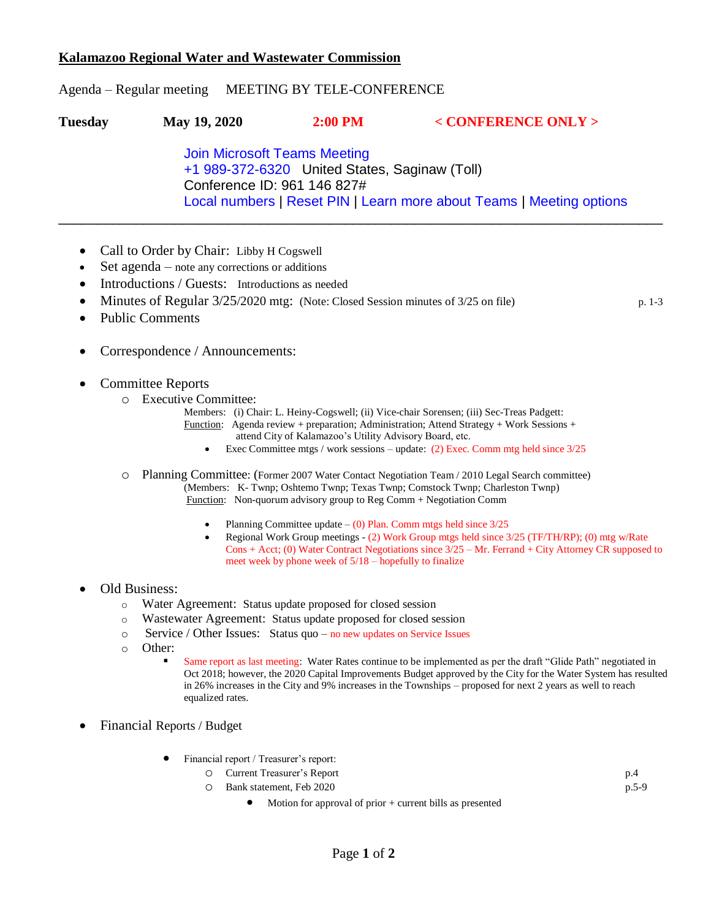## **Kalamazoo Regional Water and Wastewater Commission**

## Agenda – Regular meeting MEETING BY TELE-CONFERENCE

| Tuesday | May 19, 2020                                                         | $2:00$ PM | $<$ CONFERENCE ONLY $>$ |  |  |
|---------|----------------------------------------------------------------------|-----------|-------------------------|--|--|
|         | <b>Join Microsoft Teams Meeting</b>                                  |           |                         |  |  |
|         | +1 989-372-6320 United States, Saginaw (Toll)                        |           |                         |  |  |
|         | Conference ID: 961 146 827#                                          |           |                         |  |  |
|         | Local numbers   Reset PIN   Learn more about Teams   Meeting options |           |                         |  |  |

- Call to Order by Chair: Libby H Cogswell
- Set agenda note any corrections or additions
- Introductions / Guests: Introductions as needed
- Minutes of Regular 3/25/2020 mtg: (Note: Closed Session minutes of 3/25 on file) p. 1-3
- Public Comments
- Correspondence / Announcements:
- Committee Reports
	- o Executive Committee:
		- Members: (i) Chair: L. Heiny-Cogswell; (ii) Vice-chair Sorensen; (iii) Sec-Treas Padgett: Function: Agenda review + preparation; Administration; Attend Strategy + Work Sessions + attend City of Kalamazoo's Utility Advisory Board, etc.
			- Exec Committee mtgs / work sessions update: (2) Exec. Comm mtg held since 3/25
	- o Planning Committee: (Former 2007 Water Contact Negotiation Team / 2010 Legal Search committee) (Members: K- Twnp; Oshtemo Twnp; Texas Twnp; Comstock Twnp; Charleston Twnp) Function: Non-quorum advisory group to Reg Comm + Negotiation Comm
		- Planning Committee update (0) Plan. Comm mtgs held since 3/25
		- Regional Work Group meetings (2) Work Group mtgs held since 3/25 (TF/TH/RP); (0) mtg w/Rate Cons + Acct; (0) Water Contract Negotiations since 3/25 – Mr. Ferrand + City Attorney CR supposed to meet week by phone week of 5/18 – hopefully to finalize
- Old Business:
	- o Water Agreement: Status update proposed for closed session
	- o Wastewater Agreement: Status update proposed for closed session
	- o Service / Other Issues: Status quo no new updates on Service Issues
	- o Other:
		- Same report as last meeting: Water Rates continue to be implemented as per the draft "Glide Path" negotiated in Oct 2018; however, the 2020 Capital Improvements Budget approved by the City for the Water System has resulted in 26% increases in the City and 9% increases in the Townships – proposed for next 2 years as well to reach equalized rates.
- Financial Reports / Budget
	- Financial report / Treasurer's report:
		- o Current Treasurer's Report p.4
		- o Bank statement, Feb 2020 p.5-9
			- Motion for approval of prior + current bills as presented